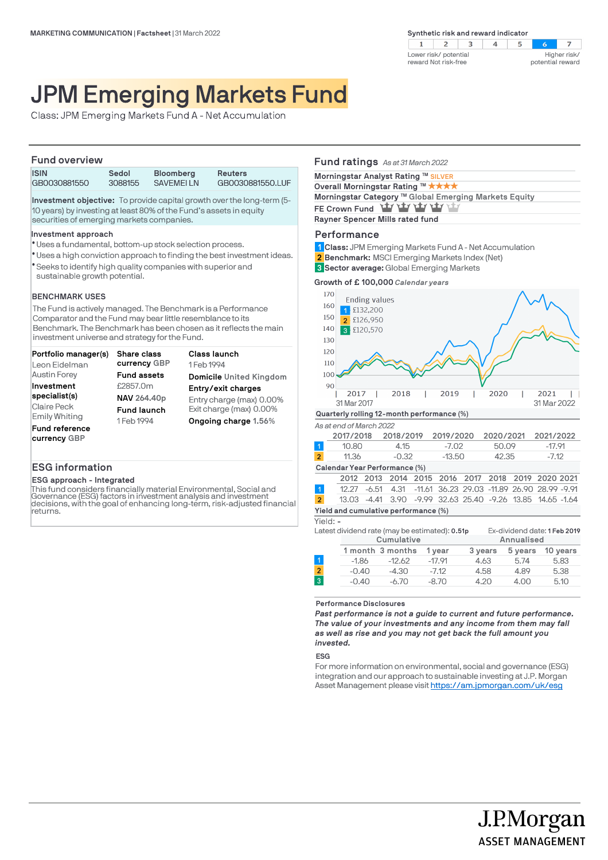$2 \mid 3$  $\overline{4}$  $\overline{z}$  $\mathbf{1}$  $5^{\circ}$ Lower risk/ potential Higher risk/ reward Not risk-free potential reward

# JPM Emerging Markets Fund

Class: JPM Emerging Markets Fund A - Net Accumulation

### **Fund overview**

| .            |         |                  |                  |  |  |  |
|--------------|---------|------------------|------------------|--|--|--|
| <b>ISIN</b>  | Sedol   | <b>Bloomberg</b> | Reuters          |  |  |  |
| GB0030881550 | 3088155 | <b>SAVEMELLN</b> | GB0030881550.LUF |  |  |  |
|              |         |                  |                  |  |  |  |

**Investment objective:** To provide capital growth over the long-term (5- 10 years) by investing at least 80% of the Fund's assets in equity securities of emerging markets companies.

### **Investment approach**

- Uses a fundamental, bottom-up stock selection process. l
- Uses a high conviction approach to finding the best investment ideas. l
- Seeks to identify high quality companies with superior and l sustainable growth potential.

### **BENCHMARK USES**

The Fund is actively managed. The Benchmark is a Performance Comparator and the Fund may bear little resemblance to its Benchmark. The Benchmark has been chosen as it reflects the main investment universe and strategy for the Fund.

| Portfolio manager(s)  | Share class        | Class launch             |
|-----------------------|--------------------|--------------------------|
| Leon Eidelman         | currency GBP       | 1 Feb 1994               |
| <b>Austin Forey</b>   | <b>Fund assets</b> | Domicile United Kingdom  |
| Investment            | £2857.0m           | Entry/exit charges       |
| specialist(s)         | NAV 264.40p        | Entry charge (max) 0.00% |
| Claire Peck           | <b>Fund launch</b> | Exit charge (max) 0.00%  |
| <b>Emily Whiting</b>  | 1 Feb 1994         | Ongoing charge 1.56%     |
| <b>Fund reference</b> |                    |                          |
| currency GBP          |                    |                          |

# **ESG information**

## **ESG approach - Integrated**

This fund considers financially material Environmental, Social and Governance (ESG) factors in investment analysis and investment decisions, with the goal of enhancing long-term, risk-adjusted financial returns.

# **Fund ratings** *As at 31 March 2022* **Morningstar Analyst Rating SILVER TM Overall Morningstar Rating <sup>™</sup> ★ ★ ★ ★** Morningstar Category <sup>™</sup> Global Emerging Markets Equity FE Crown Fund **Yty Yty Yty Yty Rayner Spencer Mills rated fund**

### **Performance**

- **Class:** JPM Emerging Markets Fund A Net Accumulation **1**
- **Benchmark:** MSCI Emerging Markets Index (Net) **2**
- **Sector average:** Global Emerging Markets **3**

**Growth of £ 100,000** *Calendar years*



|                               | 2017/2018 |         | 2018/2019 2019/2020 | 2020/2021 2021/2022 |        |  |
|-------------------------------|-----------|---------|---------------------|---------------------|--------|--|
|                               | 10.80     | 4.15    | -7.02               | 50.09               | -17 91 |  |
| $\overline{2}$                | 11.36     | $-0.32$ | $-13.50$            | 42.35               | -7.12  |  |
| Calendar Year Performance (%) |           |         |                     |                     |        |  |

|                |  |                                      |  |  |  | 2012 2013 2014 2015 2016 2017 2018 2019 2020 2021            |  |
|----------------|--|--------------------------------------|--|--|--|--------------------------------------------------------------|--|
|                |  |                                      |  |  |  | 12.27 -6.51 4.31 -11.61 36.23 29.03 -11.89 26.90 28.99 -9.91 |  |
| $\overline{2}$ |  |                                      |  |  |  | 13.03 -4.41 3.90 -9.99 32.63 25.40 -9.26 13.85 14.65 -1.64   |  |
|                |  | Yield and cumulative performance (%) |  |  |  |                                                              |  |

#### Yield: **-**

|                |         | Latest dividend rate (may be estimated): 0.51p |          | Ex-dividend date: 1 Feb 2019 |            |          |
|----------------|---------|------------------------------------------------|----------|------------------------------|------------|----------|
|                |         | Cumulative                                     |          |                              | Annualised |          |
|                |         | 1 month 3 months                               | 1 year   | 3 years                      | 5 years    | 10 years |
|                | $-1.86$ | $-12.62$                                       | $-17.91$ | 4.63                         | 5.74       | 5.83     |
| $\overline{2}$ | $-0.40$ | $-4.30$                                        | $-7.12$  | 4.58                         | 4.89       | 5.38     |
| $\overline{3}$ | $-0.40$ | $-6.70$                                        | $-8.70$  | 4.20                         | 4.00       | 5.10     |
|                |         |                                                |          |                              |            |          |

**Performance Disclosures**

*Past performance is not a guide to current and future performance. The value of your investments and any income from them may fall as well as rise and you may not get back the full amount you invested.* 

#### **ESG**

For more information on environmental, social and governance (ESG) integration and our approach to sustainable investing at J.P. Morgan Asset Management please visit https://am.jpmorgan.com/uk/esg

J.P.Morgan

**ASSET MANAGEMENT**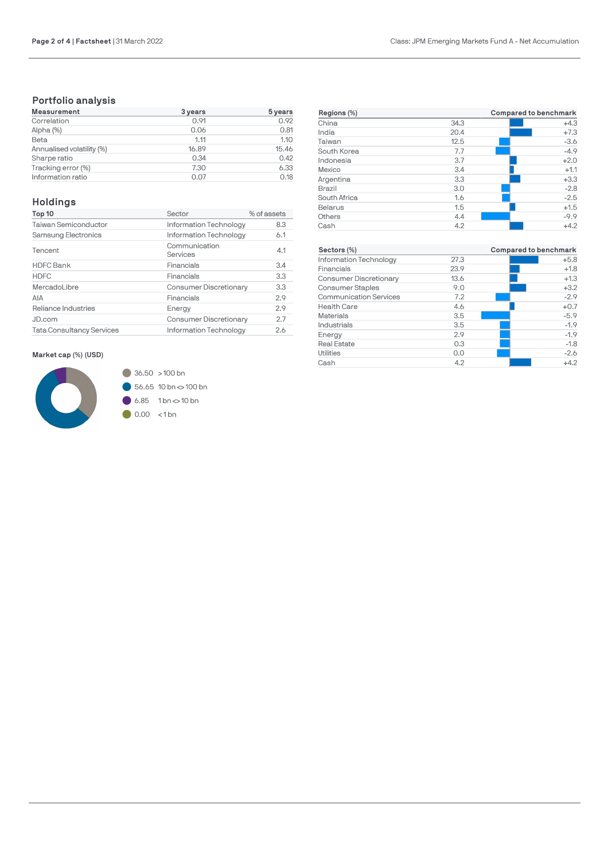# **Portfolio analysis**

| Measurement               | 3 years | 5 years |
|---------------------------|---------|---------|
| Correlation               | 0.91    | 0.92    |
| Alpha (%)                 | 0.06    | 0.81    |
| Beta                      | 1.11    | 1.10    |
| Annualised volatility (%) | 16.89   | 15.46   |
| Sharpe ratio              | 0.34    | 0.42    |
| Tracking error (%)        | 7.30    | 6.33    |
| Information ratio         | 0.07    | 0.18    |

# **Holdings**

| Top 10                           | Sector                        | % of assets |
|----------------------------------|-------------------------------|-------------|
| <b>Taiwan Semiconductor</b>      | Information Technology        | 8.3         |
| Samsung Electronics              | Information Technology        | 6.1         |
| Tencent                          | Communication<br>Services     | 4.1         |
| <b>HDFC Bank</b>                 | Financials                    | 3.4         |
| <b>HDFC</b>                      | Financials                    | 3.3         |
| MercadoLibre                     | <b>Consumer Discretionary</b> | 3.3         |
| AIA                              | Financials                    | 2.9         |
| Reliance Industries              | Energy                        | 2.9         |
| JD.com                           | <b>Consumer Discretionary</b> | 2.7         |
| <b>Tata Consultancy Services</b> | Information Technology        | 2.6         |

# **Market cap (%) (USD)**



| Regions (%)    |      | Compared to benchmark |
|----------------|------|-----------------------|
| China          | 34.3 | $+4.3$                |
| India          | 20.4 | $+7.3$                |
| Taiwan         | 12.5 | $-3.6$                |
| South Korea    | 7.7  | $-4.9$                |
| Indonesia      | 3.7  | $+2.0$                |
| Mexico         | 3.4  | $+1.1$                |
| Argentina      | 3.3  | $+3.3$                |
| <b>Brazil</b>  | 3.0  | $-2.8$                |
| South Africa   | 1.6  | $-2.5$                |
| <b>Belarus</b> | 1.5  | $+1.5$                |
| Others         | 4.4  | $-9.9$                |
| Cash           | 4.2  | $+4.2$                |

| Sectors (%)                   |      | Compared to benchmark |
|-------------------------------|------|-----------------------|
| Information Technology        | 27.3 | $+5.8$                |
| Financials                    | 23.9 | $+1.8$                |
| <b>Consumer Discretionary</b> | 13.6 | $+1.3$                |
| <b>Consumer Staples</b>       | 9.0  | $+3.2$                |
| <b>Communication Services</b> | 7.2  | $-2.9$                |
| <b>Health Care</b>            | 4.6  | $+0.7$                |
| <b>Materials</b>              | 3.5  | $-5.9$                |
| Industrials                   | 3.5  | $-1.9$                |
| Energy                        | 2.9  | $-1.9$                |
| <b>Real Estate</b>            | 0.3  | $-1.8$                |
| Utilities                     | 0.0  | $-2.6$                |
| Cash                          | 4.2  | $+4.2$                |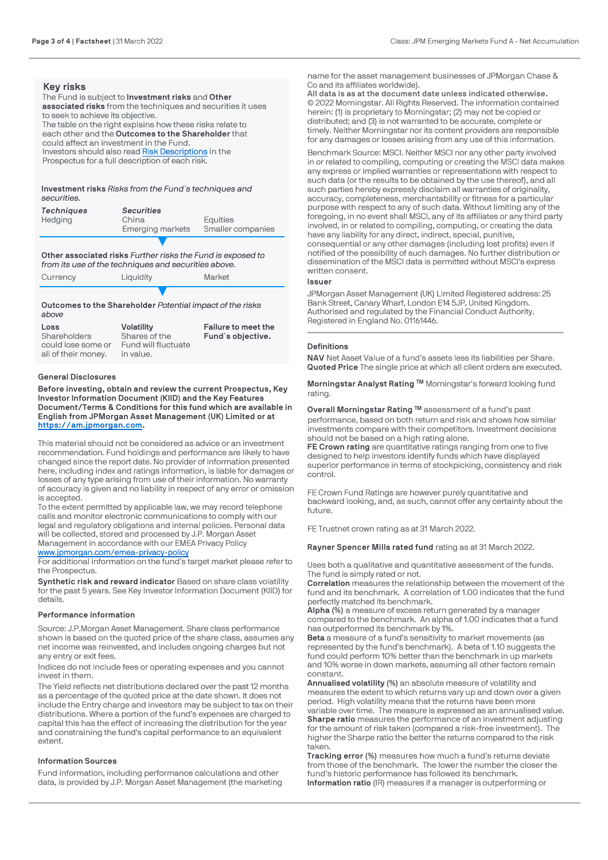# **Key risks**

The Fund is subject to **Investment risks** and **Other associated risks** from the techniques and securities it uses to seek to achieve its objective. The table on the right explains how these risks relate to each other and the **Outcomes to the Shareholder** that could affect an investment in the Fund. Investors should also read [Risk Descriptions](https://am.jpmorgan.com/gb/en/asset-management/adv/products/fund-explorer/oeics) in the Prospectus for a full description of each risk.

**Investment risks** *Risks from the Fund´s techniques and securities.*

| <b>Techniques</b><br>Hedging | <b>Securities</b><br>China<br>Emerging markets | Equities<br>Smaller companies |
|------------------------------|------------------------------------------------|-------------------------------|
|                              |                                                |                               |

**Other associated risks** *Further risks the Fund is exposed to from its use of the techniques and securities above.*

Currency Liquidity Market

▼ **Outcomes to the Shareholder** *Potential impact of the risks above*

| Loss                | <b>Volatility</b>   | Failure to meet the |
|---------------------|---------------------|---------------------|
| Shareholders        | Shares of the       | Fund's objective.   |
| could lose some or  | Fund will fluctuate |                     |
| all of their money. | in value.           |                     |

### **General Disclosures**

**Before investing, obtain and review the current Prospectus, Key Investor Information Document (KIID) and the Key Features Document/Terms & Conditions for this fund which are available in English from JPMorgan Asset Management (UK) Limited or at [https://am.jpmorgan.com](https://am.jpmorgan.com/).** 

This material should not be considered as advice or an investment recommendation. Fund holdings and performance are likely to have changed since the report date. No provider of information presented here, including index and ratings information, is liable for damages or losses of any type arising from use of their information. No warranty of accuracy is given and no liability in respect of any error or omission is accepted.

To the extent permitted by applicable law, we may record telephone calls and monitor electronic communications to comply with our legal and regulatory obligations and internal policies. Personal data will be collected, stored and processed by J.P. Morgan Asset Management in accordance with our EMEA Privacy Policy [www.jpmorgan.com/emea-privacy-policy](https://www.jpmorgan.com/emea-privacy-policy)

For additional information on the fund's target market please refer to the Prospectus.

**Synthetic risk and reward indicator** Based on share class volatility for the past 5 years. See Key Investor Information Document (KIID) for details.

### **Performance information**

Source: J.P.Morgan Asset Management. Share class performance shown is based on the quoted price of the share class, assumes any net income was reinvested, and includes ongoing charges but not any entry or exit fees.

Indices do not include fees or operating expenses and you cannot invest in them.

The Yield reflects net distributions declared over the past 12 months as a percentage of the quoted price at the date shown. It does not include the Entry charge and investors may be subject to tax on their distributions. Where a portion of the fund's expenses are charged to capital this has the effect of increasing the distribution for the year and constraining the fund's capital performance to an equivalent extent.

### **Information Sources**

Fund information, including performance calculations and other data, is provided by J.P. Morgan Asset Management (the marketing

name for the asset management businesses of JPMorgan Chase & Co and its affiliates worldwide).

**All data is as at the document date unless indicated otherwise.** © 2022 Morningstar. All Rights Reserved. The information contained herein: (1) is proprietary to Morningstar; (2) may not be copied or distributed; and (3) is not warranted to be accurate, complete or timely. Neither Morningstar nor its content providers are responsible for any damages or losses arising from any use of this information.

Benchmark Source: MSCI. Neither MSCI nor any other party involved in or related to compiling, computing or creating the MSCI data makes any express or implied warranties or representations with respect to such data (or the results to be obtained by the use thereof), and all such parties hereby expressly disclaim all warranties of originality, accuracy, completeness, merchantability or fitness for a particular purpose with respect to any of such data. Without limiting any of the foregoing, in no event shall MSCI, any of its affiliates or any third party involved, in or related to compiling, computing, or creating the data have any liability for any direct, indirect, special, punitive, consequential or any other damages (including lost profits) even if notified of the possibility of such damages. No further distribution or dissemination of the MSCI data is permitted without MSCI's express written consent.

### **Issuer**

JPMorgan Asset Management (UK) Limited Registered address: 25 Bank Street, Canary Wharf, London E14 5JP, United Kingdom. Authorised and regulated by the Financial Conduct Authority. Registered in England No. 01161446.

### **Definitions**

**NAV** Net Asset Value of a fund's assets less its liabilities per Share. **Quoted Price** The single price at which all client orders are executed.

**Morningstar Analyst Rating ™** Morningstar's forward looking fund rating.

**Overall Morningstar Rating ™** assessment of a fund's past performance, based on both return and risk and shows how similar investments compare with their competitors. Investment decisions should not be based on a high rating alone.

**FE Crown rating** are quantitative ratings ranging from one to five designed to help investors identify funds which have displayed superior performance in terms of stockpicking, consistency and risk control.

FE Crown Fund Ratings are however purely quantitative and backward looking, and, as such, cannot offer any certainty about the future.

FE Trustnet crown rating as at 31 March 2022.

**Rayner Spencer Mills rated fund** rating as at 31 March 2022.

Uses both a qualitative and quantitative assessment of the funds. The fund is simply rated or not.

**Correlation** measures the relationship between the movement of the fund and its benchmark. A correlation of 1.00 indicates that the fund perfectly matched its benchmark.

**Alpha (%)** a measure of excess return generated by a manager compared to the benchmark. An alpha of 1.00 indicates that a fund has outperformed its benchmark by 1%.

**Beta** a measure of a fund's sensitivity to market movements (as represented by the fund's benchmark). A beta of 1.10 suggests the fund could perform 10% better than the benchmark in up markets and 10% worse in down markets, assuming all other factors remain constant.

**Annualised volatility (%)** an absolute measure of volatility and measures the extent to which returns vary up and down over a given period. High volatility means that the returns have been more variable over time. The measure is expressed as an annualised value. **Sharpe ratio** measures the performance of an investment adjusting for the amount of risk taken (compared a risk-free investment). The higher the Sharpe ratio the better the returns compared to the risk taken.

**Tracking error (%)** measures how much a fund's returns deviate from those of the benchmark. The lower the number the closer the fund's historic performance has followed its benchmark. **Information ratio** (IR) measures if a manager is outperforming or